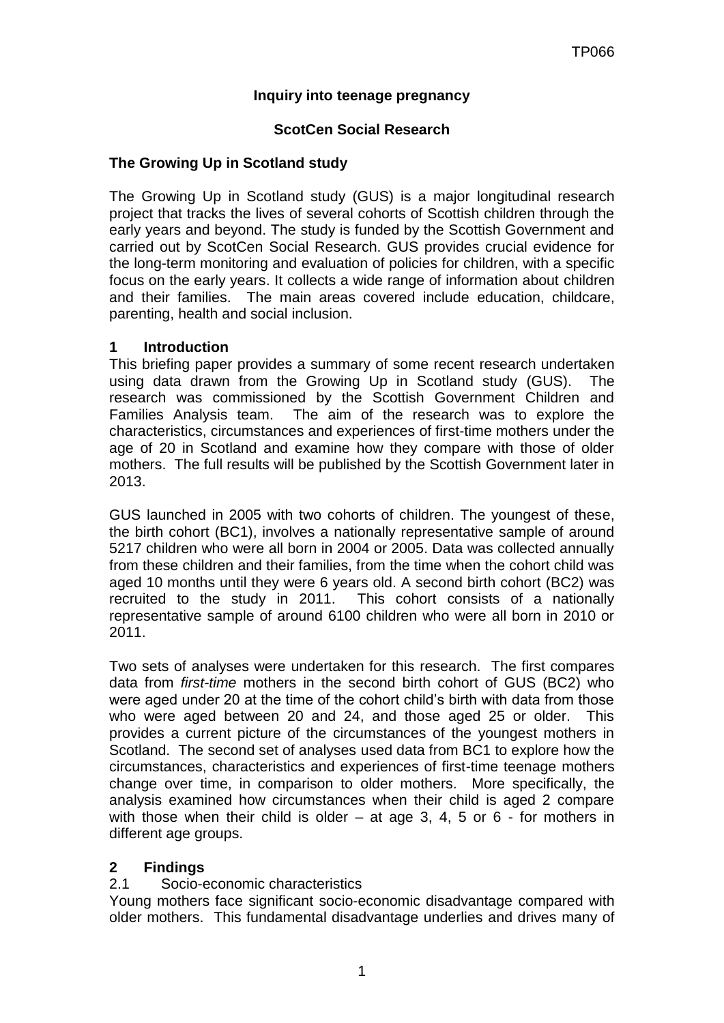## **Inquiry into teenage pregnancy**

### **ScotCen Social Research**

#### **The Growing Up in Scotland study**

The Growing Up in Scotland study (GUS) is a major longitudinal research project that tracks the lives of several cohorts of Scottish children through the early years and beyond. The study is funded by the Scottish Government and carried out by ScotCen Social Research. GUS provides crucial evidence for the long-term monitoring and evaluation of policies for children, with a specific focus on the early years. It collects a wide range of information about children and their families. The main areas covered include education, childcare, parenting, health and social inclusion.

#### **1 Introduction**

This briefing paper provides a summary of some recent research undertaken using data drawn from the Growing Up in Scotland study (GUS). The research was commissioned by the Scottish Government Children and Families Analysis team. The aim of the research was to explore the characteristics, circumstances and experiences of first-time mothers under the age of 20 in Scotland and examine how they compare with those of older mothers. The full results will be published by the Scottish Government later in 2013.

GUS launched in 2005 with two cohorts of children. The youngest of these, the birth cohort (BC1), involves a nationally representative sample of around 5217 children who were all born in 2004 or 2005. Data was collected annually from these children and their families, from the time when the cohort child was aged 10 months until they were 6 years old. A second birth cohort (BC2) was recruited to the study in 2011. This cohort consists of a nationally representative sample of around 6100 children who were all born in 2010 or 2011.

Two sets of analyses were undertaken for this research. The first compares data from *first-time* mothers in the second birth cohort of GUS (BC2) who were aged under 20 at the time of the cohort child's birth with data from those who were aged between 20 and 24, and those aged 25 or older. This provides a current picture of the circumstances of the youngest mothers in Scotland. The second set of analyses used data from BC1 to explore how the circumstances, characteristics and experiences of first-time teenage mothers change over time, in comparison to older mothers. More specifically, the analysis examined how circumstances when their child is aged 2 compare with those when their child is older – at age 3, 4, 5 or 6 - for mothers in different age groups.

## **2 Findings**

#### 2.1 Socio-economic characteristics

Young mothers face significant socio-economic disadvantage compared with older mothers. This fundamental disadvantage underlies and drives many of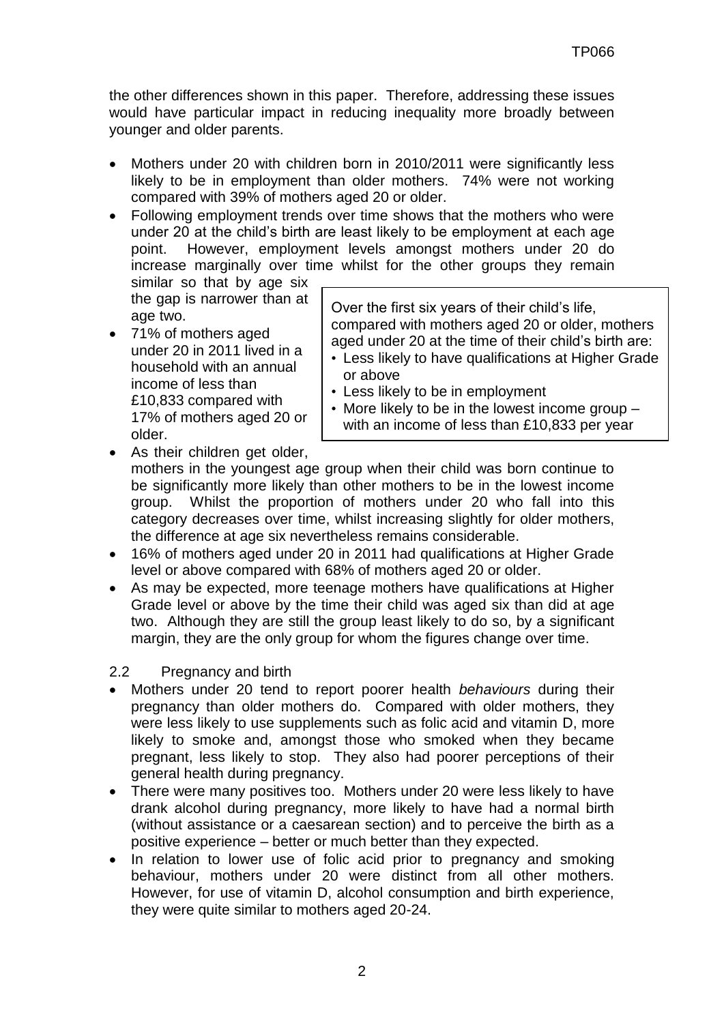the other differences shown in this paper. Therefore, addressing these issues would have particular impact in reducing inequality more broadly between younger and older parents.

- Mothers under 20 with children born in 2010/2011 were significantly less likely to be in employment than older mothers. 74% were not working compared with 39% of mothers aged 20 or older.
- Following employment trends over time shows that the mothers who were under 20 at the child's birth are least likely to be employment at each age point. However, employment levels amongst mothers under 20 do increase marginally over time whilst for the other groups they remain

similar so that by age six the gap is narrower than at age two.

• 71% of mothers aged under 20 in 2011 lived in a household with an annual income of less than £10,833 compared with 17% of mothers aged 20 or older.

Over the first six years of their child's life, compared with mothers aged 20 or older, mothers aged under 20 at the time of their child's birth are:

- Less likely to have qualifications at Higher Grade or above
- Less likely to be in employment
- More likely to be in the lowest income group with an income of less than £10,833 per year
- As their children get older, mothers in the youngest age group when their child was born continue to be significantly more likely than other mothers to be in the lowest income group. Whilst the proportion of mothers under 20 who fall into this category decreases over time, whilst increasing slightly for older mothers, the difference at age six nevertheless remains considerable.
- 16% of mothers aged under 20 in 2011 had qualifications at Higher Grade level or above compared with 68% of mothers aged 20 or older.
- As may be expected, more teenage mothers have qualifications at Higher Grade level or above by the time their child was aged six than did at age two. Although they are still the group least likely to do so, by a significant margin, they are the only group for whom the figures change over time.
- 2.2 Pregnancy and birth
- Mothers under 20 tend to report poorer health *behaviours* during their pregnancy than older mothers do. Compared with older mothers, they were less likely to use supplements such as folic acid and vitamin D, more likely to smoke and, amongst those who smoked when they became pregnant, less likely to stop. They also had poorer perceptions of their general health during pregnancy.
- There were many positives too. Mothers under 20 were less likely to have drank alcohol during pregnancy, more likely to have had a normal birth (without assistance or a caesarean section) and to perceive the birth as a positive experience – better or much better than they expected.
- In relation to lower use of folic acid prior to pregnancy and smoking behaviour, mothers under 20 were distinct from all other mothers. However, for use of vitamin D, alcohol consumption and birth experience, they were quite similar to mothers aged 20-24.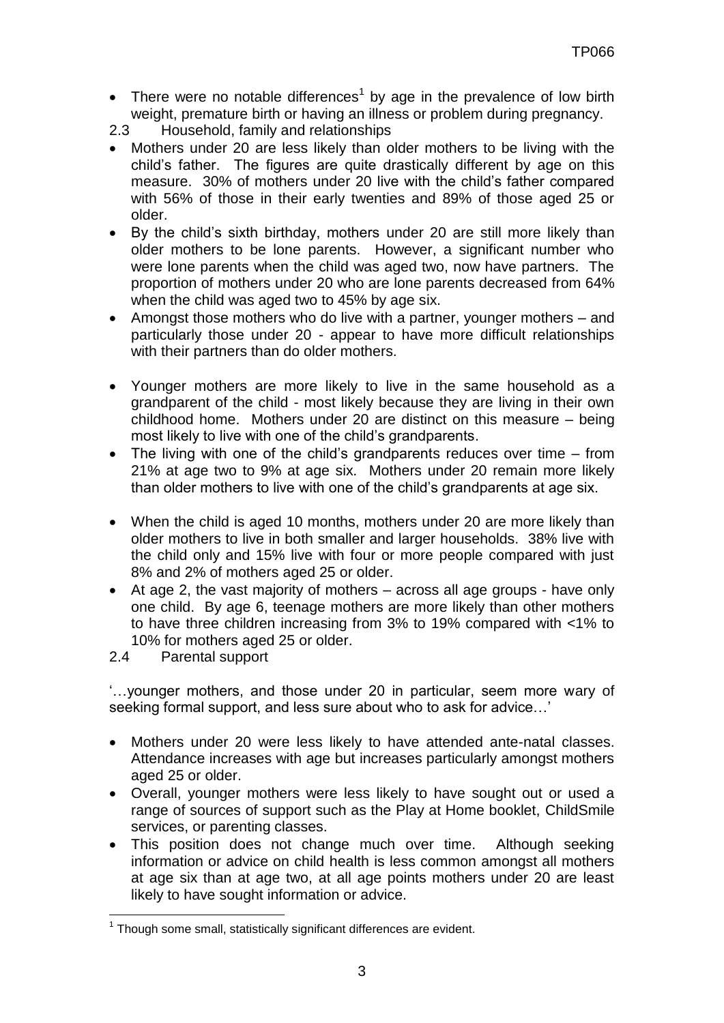• There were no notable differences<sup>1</sup> by age in the prevalence of low birth weight, premature birth or having an illness or problem during pregnancy.

2.3 Household, family and relationships

- Mothers under 20 are less likely than older mothers to be living with the child's father. The figures are quite drastically different by age on this measure. 30% of mothers under 20 live with the child's father compared with 56% of those in their early twenties and 89% of those aged 25 or older.
- By the child's sixth birthday, mothers under 20 are still more likely than older mothers to be lone parents. However, a significant number who were lone parents when the child was aged two, now have partners. The proportion of mothers under 20 who are lone parents decreased from 64% when the child was aged two to 45% by age six.
- Amongst those mothers who do live with a partner, younger mothers and particularly those under 20 - appear to have more difficult relationships with their partners than do older mothers.
- Younger mothers are more likely to live in the same household as a grandparent of the child - most likely because they are living in their own childhood home. Mothers under 20 are distinct on this measure – being most likely to live with one of the child's grandparents.
- The living with one of the child's grandparents reduces over time from 21% at age two to 9% at age six. Mothers under 20 remain more likely than older mothers to live with one of the child's grandparents at age six.
- When the child is aged 10 months, mothers under 20 are more likely than older mothers to live in both smaller and larger households. 38% live with the child only and 15% live with four or more people compared with just 8% and 2% of mothers aged 25 or older.
- At age 2, the vast majority of mothers across all age groups have only one child. By age 6, teenage mothers are more likely than other mothers to have three children increasing from 3% to 19% compared with <1% to 10% for mothers aged 25 or older.
- 2.4 Parental support

 $\overline{a}$ 

'…younger mothers, and those under 20 in particular, seem more wary of seeking formal support, and less sure about who to ask for advice…'

- Mothers under 20 were less likely to have attended ante-natal classes. Attendance increases with age but increases particularly amongst mothers aged 25 or older.
- Overall, younger mothers were less likely to have sought out or used a range of sources of support such as the Play at Home booklet, ChildSmile services, or parenting classes.
- This position does not change much over time. Although seeking information or advice on child health is less common amongst all mothers at age six than at age two, at all age points mothers under 20 are least likely to have sought information or advice.

 $1$  Though some small, statistically significant differences are evident.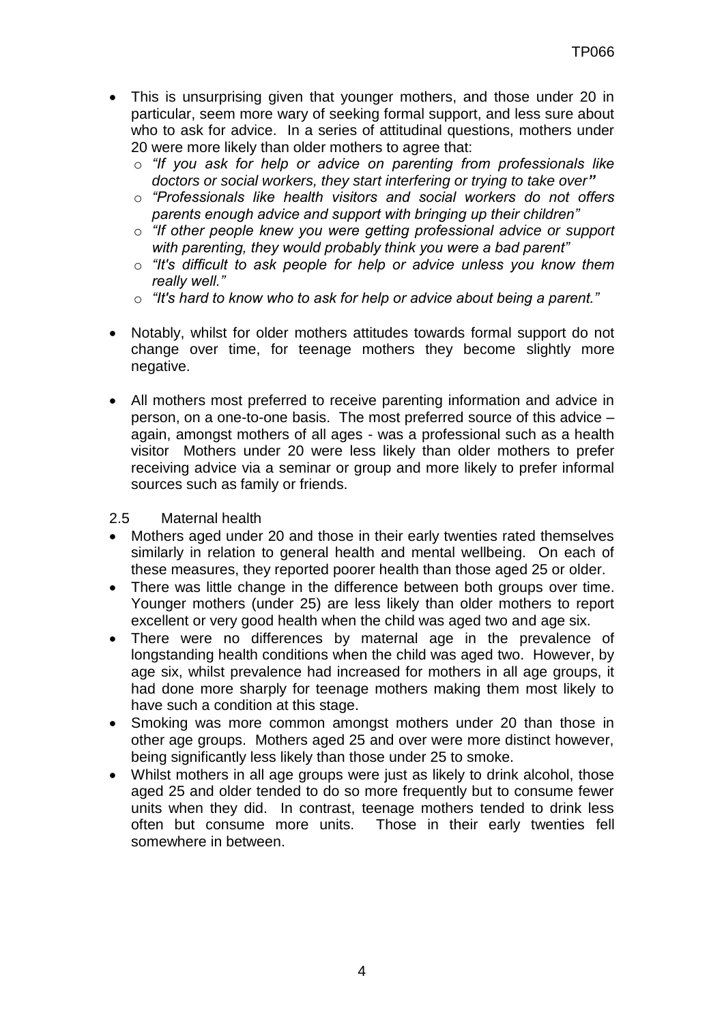- This is unsurprising given that younger mothers, and those under 20 in particular, seem more wary of seeking formal support, and less sure about who to ask for advice. In a series of attitudinal questions, mothers under 20 were more likely than older mothers to agree that:
	- o *"If you ask for help or advice on parenting from professionals like doctors or social workers, they start interfering or trying to take over"*
	- o *"Professionals like health visitors and social workers do not offers parents enough advice and support with bringing up their children"*
	- o *"If other people knew you were getting professional advice or support with parenting, they would probably think you were a bad parent"*
	- o *"It's difficult to ask people for help or advice unless you know them really well."*
	- o *"It's hard to know who to ask for help or advice about being a parent."*
- Notably, whilst for older mothers attitudes towards formal support do not change over time, for teenage mothers they become slightly more negative.
- All mothers most preferred to receive parenting information and advice in person, on a one-to-one basis. The most preferred source of this advice – again, amongst mothers of all ages - was a professional such as a health visitor Mothers under 20 were less likely than older mothers to prefer receiving advice via a seminar or group and more likely to prefer informal sources such as family or friends.

## 2.5 Maternal health

- Mothers aged under 20 and those in their early twenties rated themselves similarly in relation to general health and mental wellbeing. On each of these measures, they reported poorer health than those aged 25 or older.
- There was little change in the difference between both groups over time. Younger mothers (under 25) are less likely than older mothers to report excellent or very good health when the child was aged two and age six.
- There were no differences by maternal age in the prevalence of longstanding health conditions when the child was aged two. However, by age six, whilst prevalence had increased for mothers in all age groups, it had done more sharply for teenage mothers making them most likely to have such a condition at this stage.
- Smoking was more common amongst mothers under 20 than those in other age groups. Mothers aged 25 and over were more distinct however, being significantly less likely than those under 25 to smoke.
- Whilst mothers in all age groups were just as likely to drink alcohol, those aged 25 and older tended to do so more frequently but to consume fewer units when they did. In contrast, teenage mothers tended to drink less often but consume more units. Those in their early twenties fell somewhere in between.